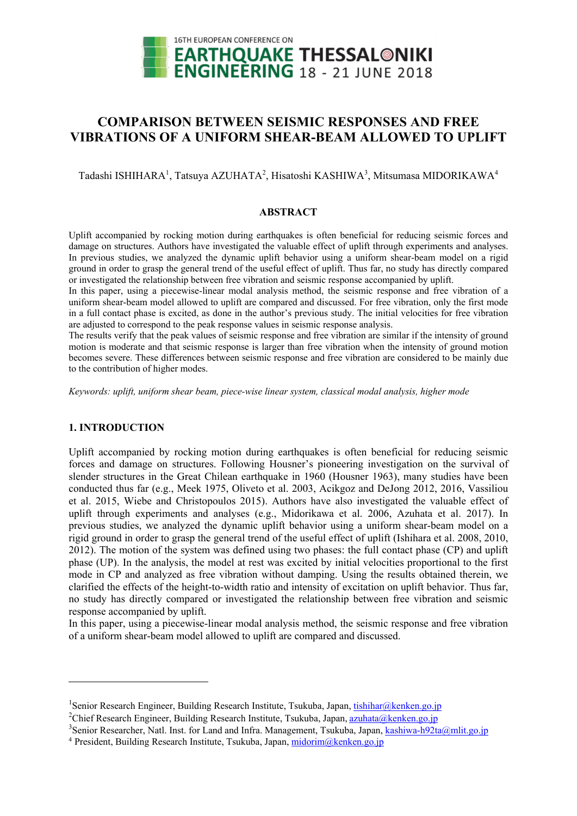

# **COMPARISON BETWEEN SEISMIC RESPONSES AND FREE VIBRATIONS OF A UNIFORM SHEAR-BEAM ALLOWED TO UPLIFT**

Tadashi ISHIHARA<sup>1</sup>, Tatsuya AZUHATA<sup>2</sup>, Hisatoshi KASHIWA<sup>3</sup>, Mitsumasa MIDORIKAWA<sup>4</sup>

#### **ABSTRACT**

Uplift accompanied by rocking motion during earthquakes is often beneficial for reducing seismic forces and damage on structures. Authors have investigated the valuable effect of uplift through experiments and analyses. In previous studies, we analyzed the dynamic uplift behavior using a uniform shear-beam model on a rigid ground in order to grasp the general trend of the useful effect of uplift. Thus far, no study has directly compared or investigated the relationship between free vibration and seismic response accompanied by uplift.

In this paper, using a piecewise-linear modal analysis method, the seismic response and free vibration of a uniform shear-beam model allowed to uplift are compared and discussed. For free vibration, only the first mode in a full contact phase is excited, as done in the author's previous study. The initial velocities for free vibration are adjusted to correspond to the peak response values in seismic response analysis.

The results verify that the peak values of seismic response and free vibration are similar if the intensity of ground motion is moderate and that seismic response is larger than free vibration when the intensity of ground motion becomes severe. These differences between seismic response and free vibration are considered to be mainly due to the contribution of higher modes.

*Keywords: uplift, uniform shear beam, piece-wise linear system, classical modal analysis, higher mode* 

## **1. INTRODUCTION**

-

Uplift accompanied by rocking motion during earthquakes is often beneficial for reducing seismic forces and damage on structures. Following Housner's pioneering investigation on the survival of slender structures in the Great Chilean earthquake in 1960 (Housner 1963), many studies have been conducted thus far (e.g., Meek 1975, Oliveto et al. 2003, Acikgoz and DeJong 2012, 2016, Vassiliou et al. 2015, Wiebe and Christopoulos 2015). Authors have also investigated the valuable effect of uplift through experiments and analyses (e.g., Midorikawa et al. 2006, Azuhata et al. 2017). In previous studies, we analyzed the dynamic uplift behavior using a uniform shear-beam model on a rigid ground in order to grasp the general trend of the useful effect of uplift (Ishihara et al. 2008, 2010, 2012). The motion of the system was defined using two phases: the full contact phase (CP) and uplift phase (UP). In the analysis, the model at rest was excited by initial velocities proportional to the first mode in CP and analyzed as free vibration without damping. Using the results obtained therein, we clarified the effects of the height-to-width ratio and intensity of excitation on uplift behavior. Thus far, no study has directly compared or investigated the relationship between free vibration and seismic response accompanied by uplift.

In this paper, using a piecewise-linear modal analysis method, the seismic response and free vibration of a uniform shear-beam model allowed to uplift are compared and discussed.

<sup>&</sup>lt;sup>1</sup> Senior Research Engineer, Building Research Institute, Tsukuba, Japan, tishihar@kenken.go.jp<br><sup>2</sup>Chiof Research Engineer, Building Research Institute, Tsukuba, Japan, grubate@kenken.go.jp

<sup>&</sup>lt;sup>2</sup>Chief Research Engineer, Building Research Institute, Tsukuba, Japan, azuhata@kenken.go.jp

<sup>&</sup>lt;sup>3</sup>Senior Researcher, Natl. Inst. for Land and Infra. Management, Tsukuba, Japan, <u>kashiwa-h92ta@mlit.go.jp</u><br><sup>4</sup> President, Building Research Institute, Tsukuba, Japan, <u>midorim@kenken.go.jp</u>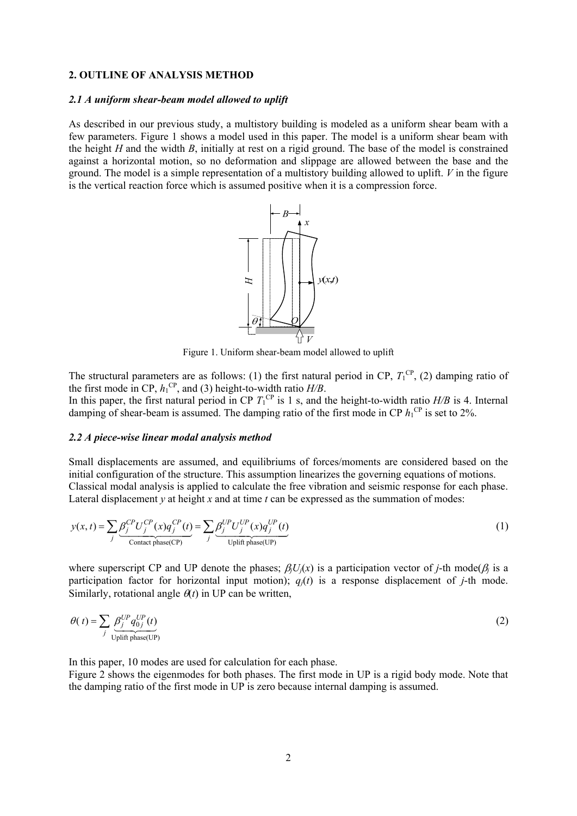# **2. OUTLINE OF ANALYSIS METHOD**

#### *2.1 A uniform shear-beam model allowed to uplift*

As described in our previous study, a multistory building is modeled as a uniform shear beam with a few parameters. Figure 1 shows a model used in this paper. The model is a uniform shear beam with the height *H* and the width *B*, initially at rest on a rigid ground. The base of the model is constrained against a horizontal motion, so no deformation and slippage are allowed between the base and the ground. The model is a simple representation of a multistory building allowed to uplift. *V* in the figure is the vertical reaction force which is assumed positive when it is a compression force.



Figure 1. Uniform shear-beam model allowed to uplift

The structural parameters are as follows: (1) the first natural period in CP,  $T_1^{\text{CP}}$ , (2) damping ratio of the first mode in CP,  $h_1^{\text{CP}}$ , and (3) height-to-width ratio  $H/B$ . In this paper, the first natural period in CP  $T_1^{\text{CP}}$  is 1 s, and the height-to-width ratio  $H/B$  is 4. Internal damping of shear-beam is assumed. The damping ratio of the first mode in CP  $h_1^{\text{CP}}$  is set to 2%.

#### *2.2 A piece-wise linear modal analysis method*

Small displacements are assumed, and equilibriums of forces/moments are considered based on the initial configuration of the structure. This assumption linearizes the governing equations of motions. Classical modal analysis is applied to calculate the free vibration and seismic response for each phase. Lateral displacement *y* at height *x* and at time *t* can be expressed as the summation of modes:

$$
y(x,t) = \sum_{j} \underbrace{\beta_j^{CP} U_j^{CP}(x) q_j^{CP}(t)}_{\text{contact phase(CP)}} = \sum_{j} \underbrace{\beta_j^{UP} U_j^{UP}(x) q_j^{UP}(t)}_{\text{Uplift phase(UP)}}
$$
(1)

where superscript CP and UP denote the phases;  $\beta_i U_i(x)$  is a participation vector of *j*-th mode( $\beta_i$  is a participation factor for horizontal input motion);  $q_i(t)$  is a response displacement of *j*-th mode. Similarly, rotational angle  $\theta(t)$  in UP can be written,

$$
\theta(t) = \sum_{j} \underbrace{\beta_j^{UP} q_{0j}^{UP}(t)}_{\text{Uplift phase(UP)}}
$$
(2)

In this paper, 10 modes are used for calculation for each phase.

Figure 2 shows the eigenmodes for both phases. The first mode in UP is a rigid body mode. Note that the damping ratio of the first mode in UP is zero because internal damping is assumed.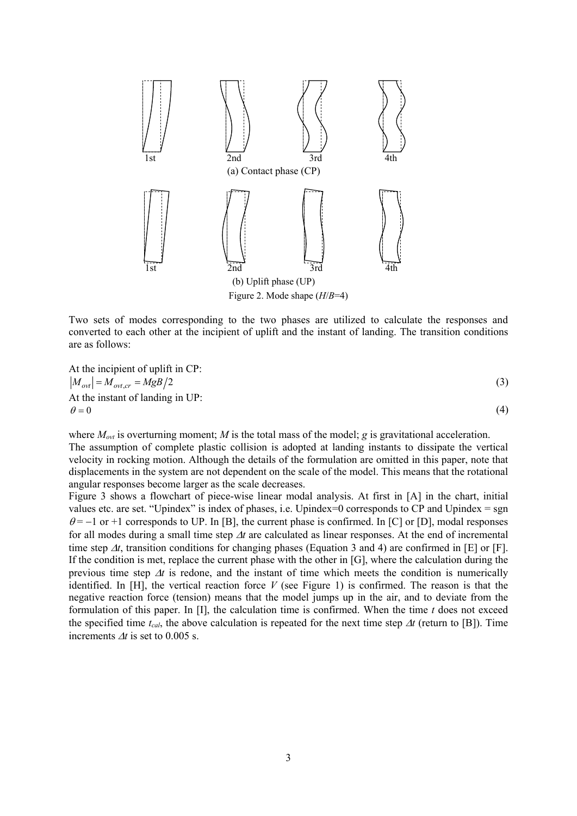

Two sets of modes corresponding to the two phases are utilized to calculate the responses and converted to each other at the incipient of uplift and the instant of landing. The transition conditions are as follows:

At the incipient of uplift in CP:  
\n
$$
|M_{ovl}| = M_{ovt,cr} = MgB/2
$$
\n
$$
\theta = 0
$$
\n(3)

where  $M_{ovt}$  is overturning moment; *M* is the total mass of the model; *g* is gravitational acceleration.

The assumption of complete plastic collision is adopted at landing instants to dissipate the vertical velocity in rocking motion. Although the details of the formulation are omitted in this paper, note that displacements in the system are not dependent on the scale of the model. This means that the rotational angular responses become larger as the scale decreases.

Figure 3 shows a flowchart of piece-wise linear modal analysis. At first in [A] in the chart, initial values etc. are set. "Upindex" is index of phases, i.e. Upindex=0 corresponds to CP and Upindex = sgn  $\theta$  = -1 or +1 corresponds to UP. In [B], the current phase is confirmed. In [C] or [D], modal responses for all modes during a small time step  $\Delta t$  are calculated as linear responses. At the end of incremental time step  $\Delta t$ , transition conditions for changing phases (Equation 3 and 4) are confirmed in [E] or [F]. If the condition is met, replace the current phase with the other in [G], where the calculation during the previous time step  $\Delta t$  is redone, and the instant of time which meets the condition is numerically identified. In [H], the vertical reaction force *V* (see Figure 1) is confirmed. The reason is that the negative reaction force (tension) means that the model jumps up in the air, and to deviate from the formulation of this paper. In [I], the calculation time is confirmed. When the time *t* does not exceed the specified time  $t_{cal}$ , the above calculation is repeated for the next time step  $\Delta t$  (return to [B]). Time increments  $\Delta t$  is set to 0.005 s.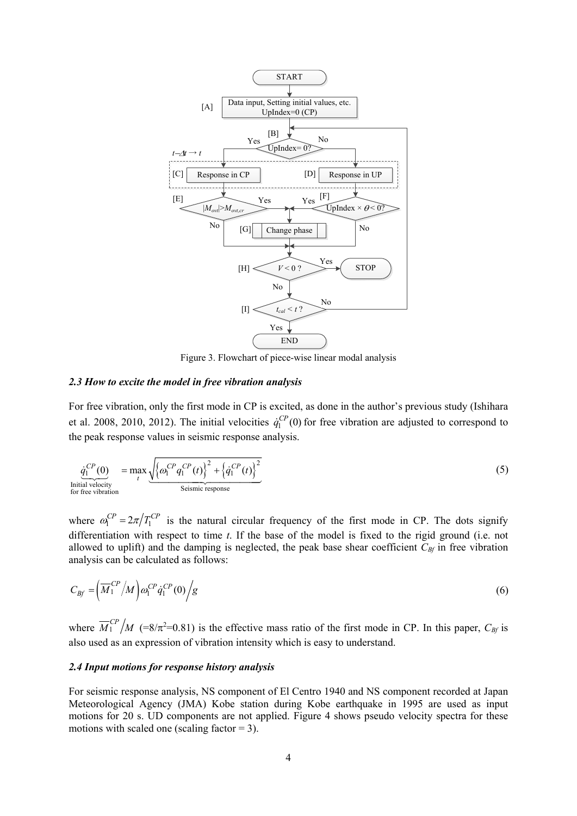

Figure 3. Flowchart of piece-wise linear modal analysis

#### *2.3 How to excite the model in free vibration analysis*

For free vibration, only the first mode in CP is excited, as done in the author's previous study (Ishihara et al. 2008, 2010, 2012). The initial velocities  $\dot{q}_1^{CP}$  (0) for free vibration are adjusted to correspond to the peak response values in seismic response analysis.

$$
\underbrace{\dot{q}_1^{CP}(0)}_{\text{Initial velocity}} = \max_t \underbrace{\sqrt{\left\{\omega_1^{CP}q_1^{CP}(t)\right\}^2 + \left\{\dot{q}_1^{CP}(t)\right\}^2}}_{\text{Seissmic response}} \tag{5}
$$

where  $\omega_1^{CP} = 2\pi/T_1^{CP}$  is the natural circular frequency of the first mode in CP. The dots signify differentiation with respect to time *t*. If the base of the model is fixed to the rigid ground (i.e. not allowed to uplift) and the damping is neglected, the peak base shear coefficient  $C_{\beta f}$  in free vibration analysis can be calculated as follows:

$$
C_{\text{Bf}} = \left(\overline{M}_1^{\text{CP}}/M\right)\omega_1^{\text{CP}}\dot{q}_1^{\text{CP}}(0)\bigg/\text{g}\tag{6}
$$

where  $\overline{M}_1^{CP}/M$  (=8/ $\pi^2$ =0.81) is the effective mass ratio of the first mode in CP. In this paper,  $C_{\beta f}$  is also used as an expression of vibration intensity which is easy to understand.

#### *2.4 Input motions for response history analysis*

For seismic response analysis, NS component of El Centro 1940 and NS component recorded at Japan Meteorological Agency (JMA) Kobe station during Kobe earthquake in 1995 are used as input motions for 20 s. UD components are not applied. Figure 4 shows pseudo velocity spectra for these motions with scaled one (scaling factor  $= 3$ ).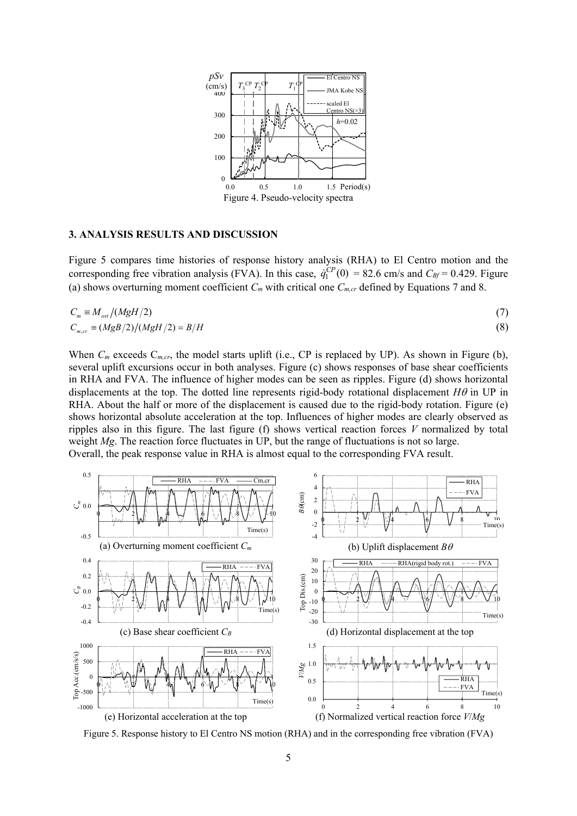

#### **3. ANALYSIS RESULTS AND DISCUSSION**

Figure 5 compares time histories of response history analysis (RHA) to El Centro motion and the corresponding free vibration analysis (FVA). In this case,  $\dot{q}_1^{CP}(0) = 82.6$  cm/s and  $C_{Bf} = 0.429$ . Figure (a) shows overturning moment coefficient  $C_m$  with critical one  $C_{m,cr}$  defined by Equations 7 and 8.

$$
C_m \equiv M_{ov}/(MgH/2)
$$
  
\n
$$
C_{m,cr} \equiv (MgB/2)/(MgH/2) = B/H
$$
\n(3)

When  $C_m$  exceeds  $C_{m,cr}$ , the model starts uplift (i.e., CP is replaced by UP). As shown in Figure (b), several uplift excursions occur in both analyses. Figure (c) shows responses of base shear coefficients in RHA and FVA. The influence of higher modes can be seen as ripples. Figure (d) shows horizontal displacements at the top. The dotted line represents rigid-body rotational displacement  $H\theta$  in UP in RHA. About the half or more of the displacement is caused due to the rigid-body rotation. Figure (e) shows horizontal absolute acceleration at the top. Influences of higher modes are clearly observed as ripples also in this figure. The last figure (f) shows vertical reaction forces *V* normalized by total weight *Mg*. The reaction force fluctuates in UP, but the range of fluctuations is not so large. Overall, the peak response value in RHA is almost equal to the corresponding FVA result.



Figure 5. Response history to El Centro NS motion (RHA) and in the corresponding free vibration (FVA)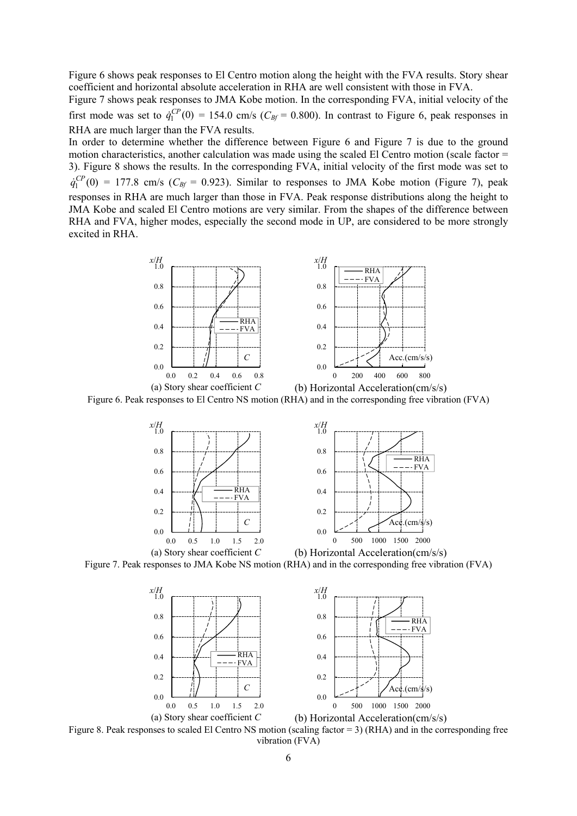Figure 6 shows peak responses to El Centro motion along the height with the FVA results. Story shear coefficient and horizontal absolute acceleration in RHA are well consistent with those in FVA.

Figure 7 shows peak responses to JMA Kobe motion. In the corresponding FVA, initial velocity of the first mode was set to  $\dot{q}_1^{CP}(0) = 154.0$  cm/s ( $C_{\beta f} = 0.800$ ). In contrast to Figure 6, peak responses in RHA are much larger than the FVA results.

In order to determine whether the difference between Figure 6 and Figure 7 is due to the ground motion characteristics, another calculation was made using the scaled El Centro motion (scale factor  $=$ 3). Figure 8 shows the results. In the corresponding FVA, initial velocity of the first mode was set to  $\dot{q}_1^{CP}(0) = 177.8$  cm/s ( $C_{Bf} = 0.923$ ). Similar to responses to JMA Kobe motion (Figure 7), peak responses in RHA are much larger than those in FVA. Peak response distributions along the height to JMA Kobe and scaled El Centro motions are very similar. From the shapes of the difference between RHA and FVA, higher modes, especially the second mode in UP, are considered to be more strongly excited in RHA.



Figure 6. Peak responses to El Centro NS motion (RHA) and in the corresponding free vibration (FVA)



Figure 7. Peak responses to JMA Kobe NS motion (RHA) and in the corresponding free vibration (FVA)



Figure 8. Peak responses to scaled El Centro NS motion (scaling factor = 3) (RHA) and in the corresponding free vibration (FVA)